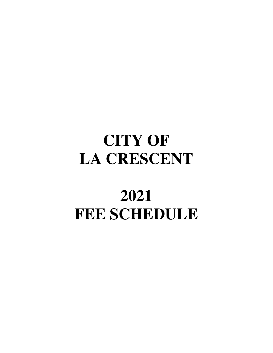# **CITY OF LA CRESCENT**

# **2021 FEE SCHEDULE**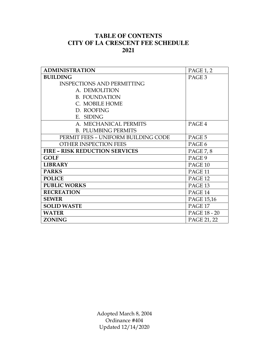# **TABLE OF CONTENTS CITY OF LA CRESCENT FEE SCHEDULE 2021**

| <b>ADMINISTRATION</b>                 | <b>PAGE 1, 2</b>   |
|---------------------------------------|--------------------|
| <b>BUILDING</b>                       | PAGE <sub>3</sub>  |
| <b>INSPECTIONS AND PERMITTING</b>     |                    |
| A. DEMOLITION                         |                    |
| <b>B. FOUNDATION</b>                  |                    |
| C. MOBILE HOME                        |                    |
| D. ROOFING                            |                    |
| E. SIDING                             |                    |
| A. MECHANICAL PERMITS                 | PAGE 4             |
| <b>B. PLUMBING PERMITS</b>            |                    |
| PERMIT FEES - UNIFORM BUILDING CODE   | PAGE 5             |
| OTHER INSPECTION FEES                 | PAGE 6             |
| <b>FIRE - RISK REDUCTION SERVICES</b> | <b>PAGE 7, 8</b>   |
| <b>GOLF</b>                           | PAGE 9             |
| <b>LIBRARY</b>                        | PAGE 10            |
| <b>PARKS</b>                          | PAGE <sub>11</sub> |
| <b>POLICE</b>                         | PAGE <sub>12</sub> |
| <b>PUBLIC WORKS</b>                   | PAGE <sub>13</sub> |
| <b>RECREATION</b>                     | PAGE 14            |
| <b>SEWER</b>                          | PAGE 15,16         |
| <b>SOLID WASTE</b>                    | PAGE 17            |
| <b>WATER</b>                          | PAGE 18 - 20       |
| <b>ZONING</b>                         | PAGE 21, 22        |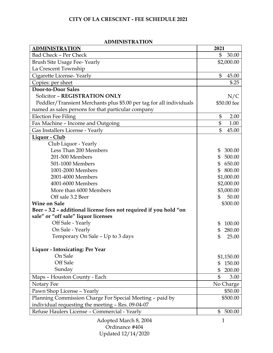| ADIVILINIS I NA LIUIN<br><b>ADMINISTRATION</b>                      | 2021                     |
|---------------------------------------------------------------------|--------------------------|
| <b>Bad Check - Per Check</b>                                        | \$<br>30.00              |
| <b>Brush Site Usage Fee-Yearly</b>                                  | \$2,000.00               |
| La Crescent Township                                                |                          |
| Cigarette License-Yearly                                            | \$<br>45.00              |
| Copies: per sheet                                                   | \$.25                    |
| <b>Door-to-Door Sales</b>                                           |                          |
| Solicitor - REGISTRATION ONLY                                       | N/C                      |
| Peddler/Transient Merchants plus \$5.00 per tag for all individuals | \$50.00 fee              |
| named as sales persons for that particular company                  |                          |
| <b>Election Fee Filing</b>                                          | \$<br>2.00               |
| Fax Machine - Income and Outgoing                                   | \$<br>1.00               |
| Gas Installers License - Yearly                                     | $\mathbb{S}$<br>45.00    |
| Liquor - Club                                                       |                          |
| Club Liquor - Yearly                                                |                          |
| Less Than 200 Members                                               | 300.00<br>\$             |
| 201-500 Members                                                     | \$500.00                 |
| 501-1000 Members                                                    | \$650.00                 |
| 1001-2000 Members                                                   | \$800.00                 |
| 2001-4000 Members                                                   | \$1,000.00               |
| 4001-6000 Members                                                   | \$2,000.00               |
| More than 6000 Members                                              | \$3,000.00               |
| Off sale 3.2 Beer                                                   | $\mathbb{S}$<br>50.00    |
| <b>Wine on Sale</b>                                                 | \$300.00                 |
| Beer - 3.2 - additional license fees not required if you hold "on   |                          |
| sale" or "off sale" liquor licenses                                 |                          |
| Off Sale - Yearly                                                   | 100.00<br>\$             |
| On Sale - Yearly                                                    | \$<br>280.00             |
| Temporary On Sale - Up to 3 days                                    | $\mathfrak{S}$<br>25.00  |
| <b>Liquor - Intoxicating: Per Year</b>                              |                          |
| On Sale                                                             | \$1,150.00               |
| Off Sale                                                            | 150.00<br>\$             |
| Sunday                                                              | \$<br>200.00             |
| Maps - Houston County - Each                                        | $\mathbb{S}$<br>3.00     |
| Notary Fee                                                          | No Charge                |
| Pawn Shop License - Yearly                                          | \$50.00                  |
| Planning Commission Charge For Special Meeting - paid by            | \$500.00                 |
| individual requesting the meeting - Res. 09-04-07                   |                          |
| Refuse Haulers License - Commercial - Yearly                        | $\mathfrak{S}$<br>500.00 |
|                                                                     |                          |

## **ADMINISTRATION**

Adopted March 8, 2004 Ordinance #404 Updated 12/14/2020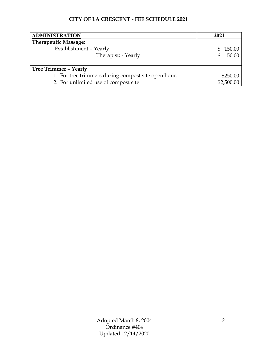| <b>ADMINISTRATION</b>                               | 2021          |
|-----------------------------------------------------|---------------|
| <b>Therapeutic Massage:</b>                         |               |
| Establishment - Yearly                              | 150.00<br>SS. |
| Therapist: - Yearly                                 | 50.00<br>\$   |
|                                                     |               |
| <b>Tree Trimmer - Yearly</b>                        |               |
| 1. For tree trimmers during compost site open hour. | \$250.00      |
| 2. For unlimited use of compost site                | \$2,500.00    |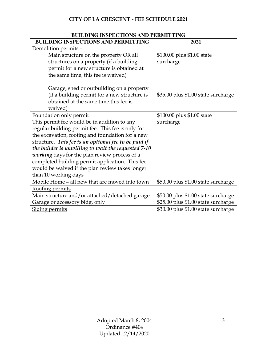| BUILDING INSPECTIONS AND PERMITTING                  |                                     |
|------------------------------------------------------|-------------------------------------|
| <b>BUILDING INSPECTIONS AND PERMITTING</b>           | 2021                                |
| Demolition permits -                                 |                                     |
| Main structure on the property OR all                | \$100.00 plus \$1.00 state          |
| structures on a property (if a building              | surcharge                           |
| permit for a new structure is obtained at            |                                     |
| the same time, this fee is waived)                   |                                     |
| Garage, shed or outbuilding on a property            |                                     |
| (if a building permit for a new structure is         | \$35.00 plus \$1.00 state surcharge |
| obtained at the same time this fee is                |                                     |
| waived)                                              |                                     |
| Foundation only permit                               | \$100.00 plus \$1.00 state          |
| This permit fee would be in addition to any          | surcharge                           |
| regular building permit fee. This fee is only for    |                                     |
| the excavation, footing and foundation for a new     |                                     |
| structure. This fee is an optional fee to be paid if |                                     |
| the builder is unwilling to wait the requested 7-10  |                                     |
| working days for the plan review process of a        |                                     |
| completed building permit application. This fee      |                                     |
| would be waived if the plan review takes longer      |                                     |
| than 10 working days                                 |                                     |
| Mobile Home - all new that are moved into town       | \$50.00 plus \$1.00 state surcharge |
| Roofing permits                                      |                                     |
| Main structure and/or attached/detached garage       | \$50.00 plus \$1.00 state surcharge |
| Garage or accessory bldg. only                       | \$25.00 plus \$1.00 state surcharge |
| <b>Siding permits</b>                                | \$30.00 plus \$1.00 state surcharge |

# **BUILDING INSPECTIONS AND PERMITTING**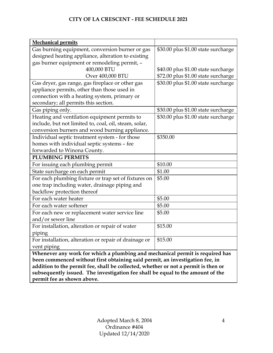| <b>Mechanical permits</b>                                                          |                                     |
|------------------------------------------------------------------------------------|-------------------------------------|
| Gas burning equipment, conversion burner or gas                                    | \$30.00 plus \$1.00 state surcharge |
| designed heating appliance, alteration to existing                                 |                                     |
| gas burner equipment or remodeling permit, -                                       |                                     |
| 400,000 BTU                                                                        | \$40.00 plus \$1.00 state surcharge |
| Over 400,000 BTU                                                                   | \$72.00 plus \$1.00 state surcharge |
| Gas dryer, gas range, gas fireplace or other gas                                   | \$30.00 plus \$1.00 state surcharge |
| appliance permits, other than those used in                                        |                                     |
| connection with a heating system, primary or                                       |                                     |
| secondary; all permits this section.                                               |                                     |
| Gas piping only.                                                                   | \$30.00 plus \$1.00 state surcharge |
| Heating and ventilation equipment permits to                                       | \$30.00 plus \$1.00 state surcharge |
| include, but not limited to, coal, oil, steam, solar,                              |                                     |
| conversion burners and wood burning appliance.                                     |                                     |
| Individual septic treatment system - for those                                     | \$350.00                            |
| homes with individual septic systems - fee                                         |                                     |
| forwarded to Winona County.                                                        |                                     |
| <b>PLUMBING PERMITS</b>                                                            |                                     |
| For issuing each plumbing permit                                                   | \$10.00                             |
| State surcharge on each permit                                                     | \$1.00                              |
| For each plumbing fixture or trap set of fixtures on                               | \$5.00                              |
| one trap including water, drainage piping and                                      |                                     |
| backflow protection thereof                                                        |                                     |
| For each water heater                                                              | \$5.00                              |
| For each water softener                                                            | \$5.00                              |
| For each new or replacement water service line                                     | \$5.00                              |
| and/or sewer line                                                                  |                                     |
| For installation, alteration or repair of water                                    | \$15.00                             |
| piping                                                                             |                                     |
| For installation, alteration or repair of drainage or                              | \$15.00                             |
| vent piping                                                                        |                                     |
| Whenever any work for which a plumbing and mechanical permit is required has       |                                     |
| been commenced without first obtaining said permit, an investigation fee, in       |                                     |
| addition to the permit fee, shall be collected, whether or not a permit is then or |                                     |
| subsequently issued. The investigation fee shall be equal to the amount of the     |                                     |

**permit fee as shown above.**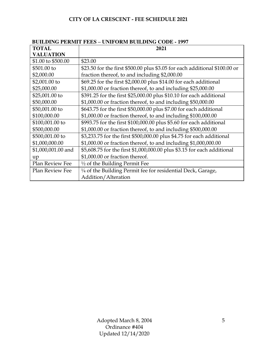|                    | <u>DUILDING I ENMIT FEES – UNIFONM DUILDING CODE • 1997</u>                |
|--------------------|----------------------------------------------------------------------------|
| <b>TOTAL</b>       | 2021                                                                       |
| <b>VALUATION</b>   |                                                                            |
| \$1.00 to \$500.00 | \$23.00                                                                    |
| \$501.00 to        | \$23.50 for the first \$500.00 plus \$3.05 for each additional \$100.00 or |
| \$2,000.00         | fraction thereof, to and including \$2,000.00                              |
| $$2,001.00$ to     | \$69.25 for the first \$2,000.00 plus \$14.00 for each additional          |
| \$25,000.00        | \$1,000.00 or fraction thereof, to and including \$25,000.00               |
| \$25,001.00 to     | \$391.25 for the first \$25,000.00 plus \$10.10 for each additional        |
| \$50,000.00        | \$1,000.00 or fraction thereof, to and including \$50,000.00               |
| \$50,001.00 to     | \$643.75 for the first \$50,000.00 plus \$7.00 for each additional         |
| \$100,000.00       | \$1,000.00 or fraction thereof, to and including \$100,000.00              |
| \$100,001.00 to    | \$993.75 for the first \$100,000.00 plus \$5.60 for each additional        |
| \$500,000.00       | \$1,000.00 or fraction thereof, to and including \$500,000.00              |
| \$500,001.00 to    | \$3,233.75 for the first \$500,000.00 plus \$4.75 for each additional      |
| \$1,000,000.00     | \$1,000.00 or fraction thereof, to and including \$1,000,000.00            |
| \$1,000,001.00 and | \$5,608.75 for the first \$1,000,000.00 plus \$3.15 for each additional    |
| up                 | \$1,000.00 or fraction thereof.                                            |
| Plan Review Fee    | $\frac{1}{2}$ of the Building Permit Fee                                   |
| Plan Review Fee    | 1/4 of the Building Permit fee for residential Deck, Garage,               |
|                    | Addition/Alteration                                                        |

## **BUILDING PERMIT FEES – UNIFORM BUILDING CODE - 1997**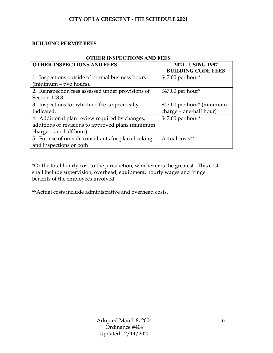#### **BUILDING PERMIT FEES**

| OTHER INSPECTIONS AND FEES |
|----------------------------|
| 2021 - USING 1997          |
| <b>BUILDING CODE FEES</b>  |
| \$47.00 per hour*          |
|                            |
| \$47.00 per hour*          |
|                            |
| \$47.00 per hour* (minimum |
| charge - one-half hour)    |
| \$47.00 per hour*          |
|                            |
|                            |
| Actual costs**             |
|                            |
|                            |

## **OTHER INSPECTIONS AND FEES**

\*Or the total hourly cost to the jurisdiction, whichever is the greatest. This cost shall include supervision, overhead, equipment, hourly wages and fringe benefits of the employees involved.

\*\*Actual costs include administrative and overhead costs.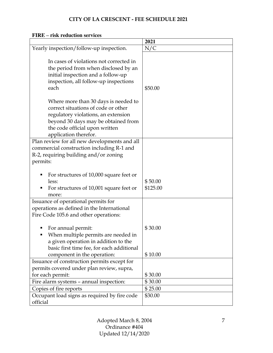|                                                                                                                                                                                                                      | 2021                |
|----------------------------------------------------------------------------------------------------------------------------------------------------------------------------------------------------------------------|---------------------|
| Yearly inspection/follow-up inspection.                                                                                                                                                                              | N/C                 |
| In cases of violations not corrected in<br>the period from when disclosed by an<br>initial inspection and a follow-up<br>inspection, all follow-up inspections<br>each                                               | \$50.00             |
| Where more than 30 days is needed to<br>correct situations of code or other<br>regulatory violations, an extension<br>beyond 30 days may be obtained from<br>the code official upon written<br>application therefor. |                     |
| Plan review for all new developments and all<br>commercial construction including R-1 and<br>R-2, requiring building and/or zoning<br>permits:                                                                       |                     |
| For structures of 10,000 square feet or<br>less:<br>For structures of 10,001 square feet or<br>more:                                                                                                                 | \$50.00<br>\$125.00 |
| Issuance of operational permits for<br>operations as defined in the International<br>Fire Code 105.6 and other operations:                                                                                           |                     |
| For annual permit:<br>When multiple permits are needed in<br>a given operation in addition to the<br>basic first time fee, for each additional                                                                       | \$30.00             |
| component in the operation:                                                                                                                                                                                          | \$10.00             |
| Issuance of construction permits except for                                                                                                                                                                          |                     |
| permits covered under plan review, supra,                                                                                                                                                                            |                     |
| for each permit:                                                                                                                                                                                                     | \$30.00<br>\$30.00  |
| Fire alarm systems - annual inspection:<br>Copies of fire reports                                                                                                                                                    | \$25.00             |
| Occupant load signs as required by fire code<br>official                                                                                                                                                             | \$30.00             |

## **FIRE – risk reduction services**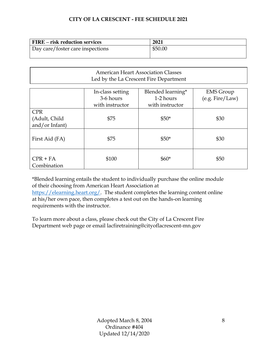| <b>FIRE</b> – risk reduction services | 2021    |
|---------------------------------------|---------|
| Day care/foster care inspections      | \$50.00 |
|                                       |         |

## American Heart Association Classes Led by the La Crescent Fire Department

|                                               | In-class setting<br>3-6 hours | Blended learning*<br>1-2 hours | <b>EMS</b> Group<br>(e.g. Fire/Law) |
|-----------------------------------------------|-------------------------------|--------------------------------|-------------------------------------|
|                                               | with instructor               | with instructor                |                                     |
| <b>CPR</b><br>(Adult, Child<br>and/or Infant) | \$75                          | $$50*$                         | \$30                                |
| First Aid (FA)                                | \$75                          | $$50*$                         | \$30                                |
| $CPR + FA$<br>Combination                     | \$100                         | $$60*$                         | \$50                                |

\*Blended learning entails the student to individually purchase the online module of their choosing from American Heart Association at

[https://elearning.heart.org/.](https://elearning.heart.org/) The student completes the learning content online at his/her own pace, then completes a test out on the hands-on learning requirements with the instructor.

To learn more about a class, please check out the City of La Crescent Fire Department web page or email lacfiretraining@cityoflacrescent-mn.gov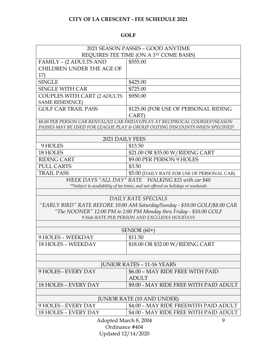## **GOLF**

| 2021 SEASON PASSES - GOOD ANYTIME                                               |                                                                                                                    |  |
|---------------------------------------------------------------------------------|--------------------------------------------------------------------------------------------------------------------|--|
| REQUIRES TEE TIME (ON A 1ST COME BASIS)                                         |                                                                                                                    |  |
| FAMILY - (2 ADULTS AND                                                          | \$555.00                                                                                                           |  |
| CHILDREN UNDER THE AGE OF                                                       |                                                                                                                    |  |
| 17)                                                                             |                                                                                                                    |  |
| <b>SINGLE</b>                                                                   | \$425.00                                                                                                           |  |
| <b>SINGLE WITH CAR</b>                                                          | \$725.00                                                                                                           |  |
| COUPLES WITH CART (2 ADULTS                                                     | \$950.00                                                                                                           |  |
| <b>SAME RESIDENCE)</b>                                                          |                                                                                                                    |  |
| <b>GOLF CAR TRAIL PASS</b>                                                      | \$125.00 (FOR USE OF PERSONAL RIDING                                                                               |  |
|                                                                                 | CART)                                                                                                              |  |
|                                                                                 | \$8.00 PER PERSON CAR RENTAL/1/2 CAR FRIDAY/PLAY AT RECIPROCAL COURSES*/SEASON                                     |  |
|                                                                                 | PASSES MAY BE USED FOR LEAGUE PLAY & GROUP OUTING DISCOUNTS WHEN SPECIFIED                                         |  |
| 2021 DAILY FEES                                                                 |                                                                                                                    |  |
| 9 HOLES                                                                         | \$13.50                                                                                                            |  |
| 18 HOLES                                                                        | \$21.00 OR \$35.00 W/RIDING CART                                                                                   |  |
| <b>RIDING CART</b>                                                              | \$9.00 PER PERSON 9 HOLES                                                                                          |  |
| <b>PULL CARTS</b>                                                               | \$3.50                                                                                                             |  |
| <b>TRAIL PASS</b>                                                               | \$5.00 (DAILY RATE FOR USE OF PERSONAL CAR)                                                                        |  |
| WEEK DAYS "ALL DAY" RATE WALKING \$25 with car \$40                             |                                                                                                                    |  |
| **Subject to availability of tee times, and not offered on holidays or weekends |                                                                                                                    |  |
|                                                                                 |                                                                                                                    |  |
| DAILY RATE SPECIALS                                                             |                                                                                                                    |  |
| "EARLY BIRD" RATE BEFORE 10:00 AM Saturday/Sunday - \$10.00 GOLF/\$8.00 CAR     |                                                                                                                    |  |
|                                                                                 | "The NOONER" 12:00 PM to 2:00 PM Monday thru Friday - \$10.00 GOLF<br>9 Hole RATE PER PERSON AND EXCLUDES HOLIDAYS |  |
|                                                                                 |                                                                                                                    |  |
|                                                                                 | SENIOR $(60+)$                                                                                                     |  |
| 9 HOLES - WEEKDAY                                                               | \$11.50                                                                                                            |  |
| <b>18 HOLES - WEEKDAY</b>                                                       | \$18.00 OR \$32.00 W/RIDING CART                                                                                   |  |
|                                                                                 |                                                                                                                    |  |
|                                                                                 |                                                                                                                    |  |
|                                                                                 | <b>JUNIOR RATES - 11-16 YEARS</b>                                                                                  |  |
| 9 HOLES - EVERY DAY                                                             | \$6.00 - MAY RIDE FREE WITH PAID                                                                                   |  |
|                                                                                 | <b>ADULT</b>                                                                                                       |  |
| 18 HOLES - EVERY DAY                                                            | \$9.00 - MAY RIDE FREE WITH PAID ADULT                                                                             |  |
|                                                                                 |                                                                                                                    |  |
| <b>JUNIOR RATE (10 AND UNDER)</b>                                               |                                                                                                                    |  |
| 9 HOLES - EVERY DAY                                                             | \$4.00 - MAY RIDE FREEWITH PAID ADULT                                                                              |  |
| <b>18 HOLES - EVERY DAY</b>                                                     | \$4.00 - MAY RIDE FREE WITH PAID ADULT                                                                             |  |
|                                                                                 | $\Lambda$ dontod $\Lambda$ orgh 8 2004                                                                             |  |

Adopted March 8, 2004 Ordinance #404 Updated 12/14/2020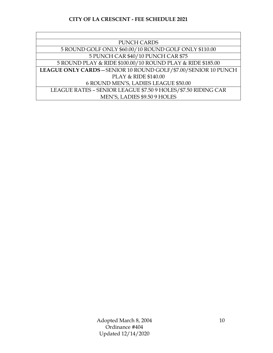| <b>PUNCH CARDS</b>                                              |
|-----------------------------------------------------------------|
| 5 ROUND GOLF ONLY \$60.00/10 ROUND GOLF ONLY \$110.00           |
| 5 PUNCH CAR \$40/10 PUNCH CAR \$75                              |
| 5 ROUND PLAY & RIDE \$100.00/10 ROUND PLAY & RIDE \$185.00      |
| LEAGUE ONLY CARDS - SENIOR 10 ROUND GOLF/\$7.00/SENIOR 10 PUNCH |
| PLAY & RIDE \$140.00                                            |
| 6 ROUND MEN'S, LADIES LEAGUE \$50.00                            |
| LEAGUE RATES - SENIOR LEAGUE \$7.50 9 HOLES/\$7.50 RIDING CAR   |
| MEN'S, LADIES \$9.50 9 HOLES                                    |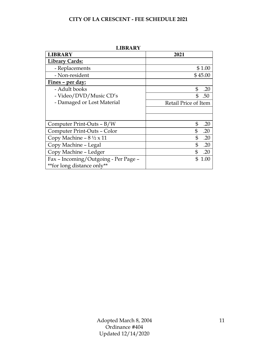| повав                                   |                      |  |
|-----------------------------------------|----------------------|--|
| <b>LIBRARY</b>                          | 2021                 |  |
| <b>Library Cards:</b>                   |                      |  |
| - Replacements                          | \$1.00               |  |
| - Non-resident                          | \$45.00              |  |
| Fines - per day:                        |                      |  |
| - Adult books                           | \$<br>.20            |  |
| - Video/DVD/Music CD's                  | \$<br>.50            |  |
| - Damaged or Lost Material              | Retail Price of Item |  |
|                                         |                      |  |
|                                         |                      |  |
| Computer Print-Outs - B/W               | \$<br>.20            |  |
| Computer Print-Outs - Color             | \$<br>.20            |  |
| Copy Machine – $8\frac{1}{2} \times 11$ | \$<br>.20            |  |
| Copy Machine - Legal                    | \$<br>.20            |  |
| Copy Machine - Ledger                   | .20<br>\$            |  |
| Fax - Incoming/Outgoing - Per Page -    | \$.<br>1.00          |  |
| **for long distance only**              |                      |  |

**LIBRARY**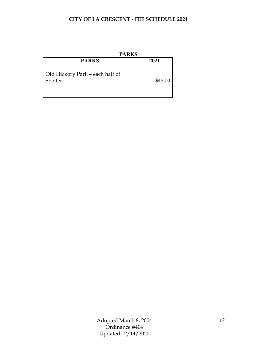| <b>PARKS</b>                               |         |
|--------------------------------------------|---------|
| <b>PARKS</b>                               | 2021    |
| Old Hickory Park - each half of<br>Shelter | \$45.00 |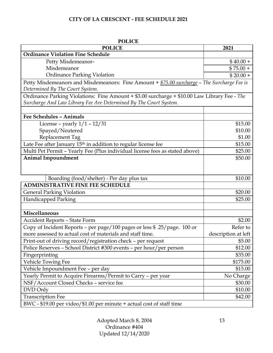| <b>POLICE</b>                                                                                                                  |                     |  |
|--------------------------------------------------------------------------------------------------------------------------------|---------------------|--|
| <b>POLICE</b>                                                                                                                  | 2021                |  |
| <b>Ordinance Violation Fine Schedule</b>                                                                                       |                     |  |
| Petty Misdemeanor-                                                                                                             | $$40.00+$           |  |
| Misdemeanor                                                                                                                    | $$75.00 +$          |  |
| <b>Ordinance Parking Violation</b>                                                                                             | $$20.00 +$          |  |
| Petty Misdemeanors and Misdemeanors: Fine Amount + \$75.00 surcharge - The Surcharge Fee is<br>Determined By The Court System. |                     |  |
| Ordinance Parking Violations: Fine Amount + \$3.00 surcharge + \$10.00 Law Library Fee - The                                   |                     |  |
| Surcharge And Law Library Fee Are Determined By The Court System.                                                              |                     |  |
|                                                                                                                                |                     |  |
| <b>Fee Schedules - Animals</b>                                                                                                 |                     |  |
| License – yearly $1/1 - 12/31$                                                                                                 | \$15.00             |  |
| Spayed/Neutered                                                                                                                | \$10.00             |  |
| Replacement Tag                                                                                                                | \$1.00              |  |
| Late Fee after January 15 <sup>th</sup> in addition to regular license fee                                                     | \$15.00             |  |
| Multi Pet Permit - Yearly Fee (Plus individual license fees as stated above)                                                   | \$25.00             |  |
| <b>Animal Impoundment</b>                                                                                                      | \$50.00             |  |
|                                                                                                                                |                     |  |
|                                                                                                                                |                     |  |
| Boarding (food/shelter) - Per day plus tax                                                                                     | \$10.00             |  |
| <b>ADMINISTRATIVE FINE FEE SCHEDULE</b>                                                                                        |                     |  |
| <b>General Parking Violation</b>                                                                                               | \$20.00             |  |
| <b>Handicapped Parking</b>                                                                                                     | \$25.00             |  |
|                                                                                                                                |                     |  |
| <b>Miscellaneous</b>                                                                                                           |                     |  |
| <b>Accident Reports - State Form</b>                                                                                           | \$2.00              |  |
| Copy of Incident Reports - per page/100 pages or less \$ .25/page. 100 or                                                      | Refer to            |  |
| more assessed to actual cost of materials and staff time.                                                                      | description at left |  |
| Print-out of driving record/registration check - per request                                                                   | \$5.00              |  |
| Police Reserves - School District #300 events - per hour/per person                                                            | \$12.00             |  |
| Fingerprinting                                                                                                                 | \$35.00             |  |
| Vehicle Towing Fee                                                                                                             | \$175.00            |  |
| Vehicle Impoundment Fee - per day                                                                                              | \$15.00             |  |
| Yearly Permit to Acquire Firearms/Permit to Carry - per year                                                                   | No Charge           |  |
| NSF/Account Closed Checks - service fee                                                                                        | \$30.00             |  |
| DVD Only                                                                                                                       | \$10.00             |  |
| <b>Transcription Fee</b>                                                                                                       | \$42.00             |  |
| BWC - \$19.00 per video/\$1.00 per minute + actual cost of staff time                                                          |                     |  |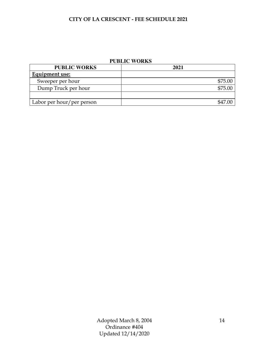## **PUBLIC WORKS**

| <b>PUBLIC WORKS</b>       | 2021    |
|---------------------------|---------|
| Equipment use:            |         |
| Sweeper per hour          | \$75.00 |
| Dump Truck per hour       | \$75.00 |
|                           |         |
| Labor per hour/per person |         |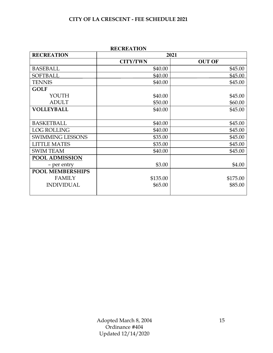| <b>KEUKEATION</b>       |                 |               |  |
|-------------------------|-----------------|---------------|--|
| <b>RECREATION</b>       | 2021            |               |  |
|                         | <b>CITY/TWN</b> | <b>OUT OF</b> |  |
| <b>BASEBALL</b>         | \$40.00         | \$45.00       |  |
| <b>SOFTBALL</b>         | \$40.00         | \$45.00       |  |
| <b>TENNIS</b>           | \$40.00         | \$45.00       |  |
| <b>GOLF</b>             |                 |               |  |
| YOUTH                   | \$40.00         | \$45.00       |  |
| <b>ADULT</b>            | \$50.00         | \$60.00       |  |
| <b>VOLLEYBALL</b>       | \$40.00         | \$45.00       |  |
|                         |                 |               |  |
| <b>BASKETBALL</b>       | \$40.00         | \$45.00       |  |
| <b>LOG ROLLING</b>      | \$40.00         | \$45.00       |  |
| <b>SWIMMING LESSONS</b> | \$35.00         | \$45.00       |  |
| <b>LITTLE MATES</b>     | \$35.00         | \$45.00       |  |
| <b>SWIM TEAM</b>        | \$40.00         | \$45.00       |  |
| <b>POOL ADMISSION</b>   |                 |               |  |
| - per entry             | \$3.00          | \$4.00        |  |
| <b>POOL MEMBERSHIPS</b> |                 |               |  |
| <b>FAMILY</b>           | \$135.00        | \$175.00      |  |
| <b>INDIVIDUAL</b>       | \$65.00         | \$85.00       |  |
|                         |                 |               |  |

## **RECREATION**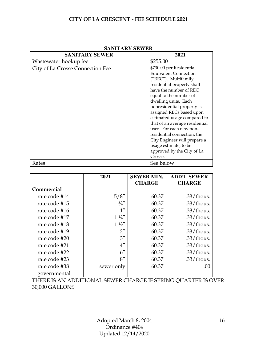| <b>SANITARY SEWER</b>            | 2021                                                                                                                                                                                                                                                                                                                                  |
|----------------------------------|---------------------------------------------------------------------------------------------------------------------------------------------------------------------------------------------------------------------------------------------------------------------------------------------------------------------------------------|
| Wastewater hookup fee            | \$255.00                                                                                                                                                                                                                                                                                                                              |
| City of La Crosse Connection Fee | \$730.00 per Residential<br><b>Equivalent Connection</b><br>("REC"). Multifamily<br>residential property shall<br>have the number of REC                                                                                                                                                                                              |
|                                  | equal to the number of<br>dwelling units. Each<br>nonresidential property is<br>assigned RECs based upon<br>estimated usage compared to<br>that of an average residential<br>user. For each new non-<br>residential connection, the<br>City Engineer will prepare a<br>usage estimate, to be<br>approved by the City of La<br>Crosse. |
| Rates                            | See below                                                                                                                                                                                                                                                                                                                             |

#### **SANITARY SEWER**

|               | 2021               | <b>SEWER MIN.</b><br><b>CHARGE</b> | <b>ADD'L SEWER</b><br><b>CHARGE</b> |
|---------------|--------------------|------------------------------------|-------------------------------------|
| Commercial    |                    |                                    |                                     |
| rate code #14 | 5/8''              | 60.37                              | $.33$ /thous.                       |
| rate code #15 | 3/4''              | 60.37                              | $.33$ /thous.                       |
| rate code #16 | $1^{\prime\prime}$ | 60.37                              | $.33$ /thous.                       |
| rate code #17 | $1\frac{1}{4}$     | 60.37                              | $.33$ /thous.                       |
| rate code #18 | $1\frac{1}{2}$     | 60.37                              | $.33$ /thous.                       |
| rate code #19 | $2^{\prime\prime}$ | 60.37                              | $.33$ /thous.                       |
| rate code #20 | $3^{\prime\prime}$ | 60.37                              | $.33$ /thous.                       |
| rate code #21 | $4^{\prime\prime}$ | 60.37                              | $.33$ /thous.                       |
| rate code #22 | $6^{\prime\prime}$ | 60.37                              | $.33$ /thous.                       |
| rate code #23 | 8''                | 60.37                              | $.33$ /thous.                       |
| rate code #38 | sewer only         | 60.37                              | .00                                 |
| governmental  |                    |                                    |                                     |

THERE IS AN ADDITIONAL SEWER CHARGE IF SPRING QUARTER IS OVER 30,000 GALLONS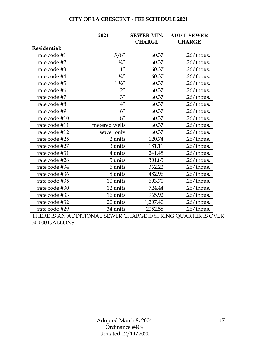|               | 2021                 | <b>SEWER MIN.</b> | <b>ADD'L SEWER</b> |
|---------------|----------------------|-------------------|--------------------|
|               |                      | <b>CHARGE</b>     | <b>CHARGE</b>      |
| Residential:  |                      |                   |                    |
| rate code #1  | 5/8''                | 60.37             | $.26$ /thous.      |
| rate code #2  | $3/4^{\prime\prime}$ | 60.37             | $.26$ /thous.      |
| rate code #3  | $1^{\prime\prime}$   | 60.37             | $.26$ /thous.      |
| rate code #4  | $1\frac{1}{4}$       | 60.37             | $.26$ /thous.      |
| rate code #5  | $1 \frac{1}{2}$      | 60.37             | $.26$ /thous.      |
| rate code #6  | $2^{\prime\prime}$   | 60.37             | $.26$ /thous.      |
| rate code #7  | $3^{\prime\prime}$   | 60.37             | $.26$ /thous.      |
| rate code #8  | $4^{\prime\prime}$   | 60.37             | $.26$ /thous.      |
| rate code #9  | 6''                  | 60.37             | $.26$ /thous.      |
| rate code #10 | 8''                  | 60.37             | $.26$ /thous.      |
| rate code #11 | metered wells        | 60.37             | $.26$ /thous.      |
| rate code #12 | sewer only           | 60.37             | $.26$ /thous.      |
| rate code #25 | 2 units              | 120.74            | $.26$ /thous.      |
| rate code #27 | 3 units              | 181.11            | $.26$ /thous.      |
| rate code #31 | 4 units              | 241.48            | $.26$ /thous.      |
| rate code #28 | 5 units              | 301.85            | $.26$ /thous.      |
| rate code #34 | 6 units              | 362.22            | $.26$ /thous.      |
| rate code #36 | 8 units              | 482.96            | $.26$ /thous.      |
| rate code #35 | 10 units             | 603.70            | $.26$ /thous.      |
| rate code #30 | 12 units             | 724.44            | $.26$ /thous.      |
| rate code #33 | 16 units             | 965.92            | $.26$ /thous.      |
| rate code #32 | 20 units             | 1,207.40          | $.26$ /thous.      |
| rate code #29 | 34 units             | 2052.58           | $.26$ /thous.      |

THERE IS AN ADDITIONAL SEWER CHARGE IF SPRING QUARTER IS OVER 30,000 GALLONS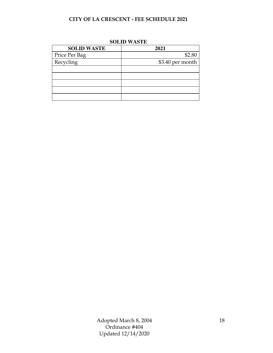| DULID MADIL        |                  |  |
|--------------------|------------------|--|
| <b>SOLID WASTE</b> | 2021             |  |
| Price Per Bag      | \$2.80           |  |
| Recycling          | \$3.40 per month |  |
|                    |                  |  |
|                    |                  |  |
|                    |                  |  |
|                    |                  |  |
|                    |                  |  |

#### **SOLID WASTE**

Adopted March 8, 2004 Ordinance #404 Updated 12/14/2020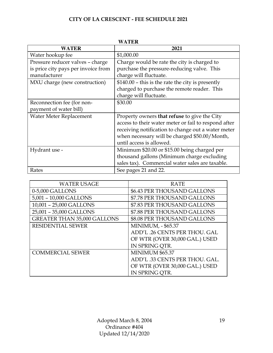| WATER                               |                                                      |  |
|-------------------------------------|------------------------------------------------------|--|
| <b>WATER</b>                        | 2021                                                 |  |
| Water hookup fee                    | \$1,000.00                                           |  |
| Pressure reducer valves - charge    | Charge would be rate the city is charged to          |  |
| is price city pays per invoice from | purchase the pressure-reducing valve. This           |  |
| manufacturer                        | charge will fluctuate.                               |  |
| MXU charge (new construction)       | $$140.00$ – this is the rate the city is presently   |  |
|                                     | charged to purchase the remote reader. This          |  |
|                                     | charge will fluctuate.                               |  |
| Reconnection fee (for non-          | \$30.00                                              |  |
| payment of water bill)              |                                                      |  |
| Water Meter Replacement             | Property owners that refuse to give the City         |  |
|                                     | access to their water meter or fail to respond after |  |
|                                     | receiving notification to change out a water meter   |  |
|                                     | when necessary will be charged \$50.00/Month,        |  |
|                                     | until access is allowed.                             |  |
| Hydrant use -                       | Minimum \$20.00 or \$15.00 being charged per         |  |
|                                     | thousand gallons (Minimum charge excluding           |  |
|                                     | sales tax). Commercial water sales are taxable.      |  |
| Rates                               | See pages 21 and 22.                                 |  |

| <b>WATER USAGE</b>                 | <b>RATE</b>                    |
|------------------------------------|--------------------------------|
| 0-5,000 GALLONS                    | \$6.43 PER THOUSAND GALLONS    |
| 5,001 - 10,000 GALLONS             | \$7.78 PER THOUSAND GALLONS    |
| 10,001 - 25,000 GALLONS            | \$7.83 PER THOUSAND GALLONS    |
| 25,001 - 35,000 GALLONS            | \$7.88 PER THOUSAND GALLONS    |
| <b>GREATER THAN 35,000 GALLONS</b> | \$8.08 PER THOUSAND GALLONS    |
| <b>RESIDENTIAL SEWER</b>           | <b>MINIMUM, - \$65.37</b>      |
|                                    | ADD'L .26 CENTS PER THOU. GAL  |
|                                    | OF WTR (OVER 30,000 GAL.) USED |
|                                    | IN SPRING OTR.                 |
| <b>COMMERCIAL SEWER</b>            | <b>MINIMUM \$65.37</b>         |
|                                    | ADD'L .33 CENTS PER THOU. GAL. |
|                                    | OF WTR (OVER 30,000 GAL.) USED |
|                                    | IN SPRING OTR.                 |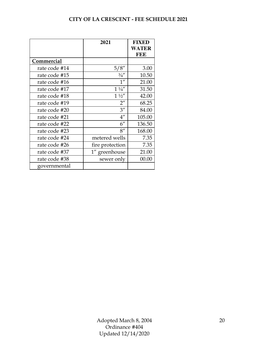|               | 2021               | <b>FIXED</b><br><b>WATER</b><br><b>FEE</b> |
|---------------|--------------------|--------------------------------------------|
| Commercial    |                    |                                            |
| rate code #14 | 5/8''              | 3.00                                       |
| rate code #15 | 3/4''              | 10.50                                      |
| rate code #16 | 1 <sup>''</sup>    | 21.00                                      |
| rate code #17 | $1\frac{1}{4}$     | 31.50                                      |
| rate code #18 | $1\frac{1}{2}$     | 42.00                                      |
| rate code #19 | $2^{\prime\prime}$ | 68.25                                      |
| rate code #20 | $3^{\prime\prime}$ | 84.00                                      |
| rate code #21 | $4^{\prime\prime}$ | 105.00                                     |
| rate code #22 | $6^{\prime\prime}$ | 136.50                                     |
| rate code #23 | 8''                | 168.00                                     |
| rate code #24 | metered wells      | 7.35                                       |
| rate code #26 | fire protection    | 7.35                                       |
| rate code #37 | 1" greenhouse      | 21.00                                      |
| rate code #38 | sewer only         | 00.00                                      |
| governmental  |                    |                                            |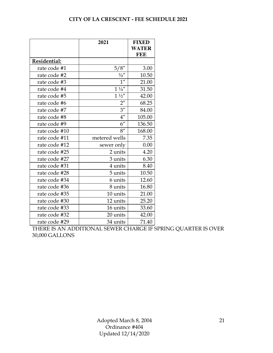|               | 2021               | <b>FIXED</b><br><b>WATER</b><br><b>FEE</b> |
|---------------|--------------------|--------------------------------------------|
| Residential:  |                    |                                            |
| rate code #1  | 5/8''              | 3.00                                       |
| rate code #2  | 3/4''              | 10.50                                      |
| rate code #3  | $1^{\prime\prime}$ | 21.00                                      |
| rate code #4  | $1\frac{1}{4}$     | 31.50                                      |
| rate code #5  | $1\frac{1}{2}$     | 42.00                                      |
| rate code #6  | $2^{\prime\prime}$ | 68.25                                      |
| rate code #7  | $3^{\prime\prime}$ | 84.00                                      |
| rate code #8  | $4^{\prime\prime}$ | 105.00                                     |
| rate code #9  | $6^{\prime\prime}$ | 136.50                                     |
| rate code #10 | 8''                | 168.00                                     |
| rate code #11 | metered wells      | 7.35                                       |
| rate code #12 | sewer only         | 0.00                                       |
| rate code #25 | 2 units            | 4.20                                       |
| rate code #27 | 3 units            | 6.30                                       |
| rate code #31 | 4 units            | 8.40                                       |
| rate code #28 | 5 units            | 10.50                                      |
| rate code #34 | 6 units            | 12.60                                      |
| rate code #36 | 8 units            | 16.80                                      |
| rate code #35 | 10 units           | 21.00                                      |
| rate code #30 | 12 units           | 25.20                                      |
| rate code #33 | 16 units           | 33.60                                      |
| rate code #32 | 20 units           | 42.00                                      |
| rate code #29 | 34 units           | 71.40                                      |

THERE IS AN ADDITIONAL SEWER CHARGE IF SPRING QUARTER IS OVER 30,000 GALLONS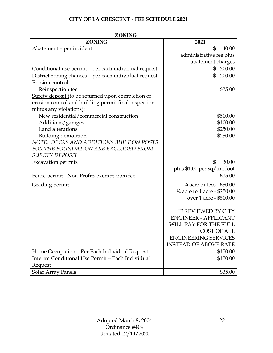| <i>L</i> UNTIA<br><b>ZONING</b>                               | 2021                                    |
|---------------------------------------------------------------|-----------------------------------------|
| Abatement - per incident                                      | \$<br>40.00                             |
|                                                               | administrative fee plus                 |
|                                                               | abatement charges                       |
| Conditional use permit - per each individual request          | 200.00<br>\$                            |
| District zoning chances - per each individual request         | $\mathbb{S}$<br>200.00                  |
| Erosion control:                                              |                                         |
| Reinspection fee                                              | \$35.00                                 |
| Surety deposit (to be returned upon completion of             |                                         |
| erosion control and building permit final inspection          |                                         |
| minus any violations):                                        |                                         |
| New residential/commercial construction                       | \$500.00                                |
| Additions/garages                                             | \$100.00                                |
| Land alterations                                              | \$250.00                                |
| <b>Building demolition</b>                                    | \$250.00                                |
| NOTE: DECKS AND ADDITIONS BUILT ON POSTS                      |                                         |
| FOR THE FOUNDATION ARE EXCLUDED FROM<br><b>SURETY DEPOSIT</b> |                                         |
| <b>Excavation permits</b>                                     | $\mathbb{S}$<br>30.00                   |
|                                                               | plus \$1.00 per sq/lin. foot            |
| Fence permit - Non-Profits exempt from fee                    | \$15.00                                 |
|                                                               | $\frac{1}{4}$ acre or less - \$50.00    |
| Grading permit                                                | $\frac{1}{4}$ acre to 1 acre - \$250.00 |
|                                                               | over 1 acre - \$500.00                  |
|                                                               |                                         |
|                                                               | IF REVIEWED BY CITY                     |
|                                                               | <b>ENGINEER - APPLICANT</b>             |
|                                                               | WILL PAY FOR THE FULL                   |
|                                                               | <b>COST OF ALL</b>                      |
|                                                               | <b>ENGINEERING SERVICES</b>             |
|                                                               | <b>INSTEAD OF ABOVE RATE</b>            |
| Home Occupation - Per Each Individual Request                 | \$150.00                                |
| Interim Conditional Use Permit - Each Individual              | \$150.00                                |
| Request                                                       |                                         |
| Solar Array Panels                                            | \$35.00                                 |

**ZONING**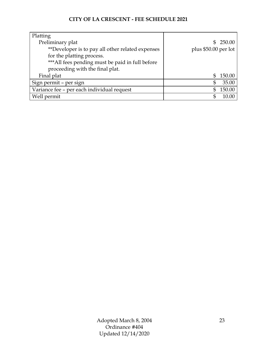| Platting                                         |                      |
|--------------------------------------------------|----------------------|
| Preliminary plat                                 | \$250.00             |
| **Developer is to pay all other related expenses | plus \$50.00 per lot |
| for the platting process.                        |                      |
| *** All fees pending must be paid in full before |                      |
| proceeding with the final plat.                  |                      |
| Final plat                                       | 150.00<br>\$         |
| Sign permit - per sign                           | 35.00<br>S           |
| Variance fee - per each individual request       | 150.00               |
| Well permit                                      |                      |